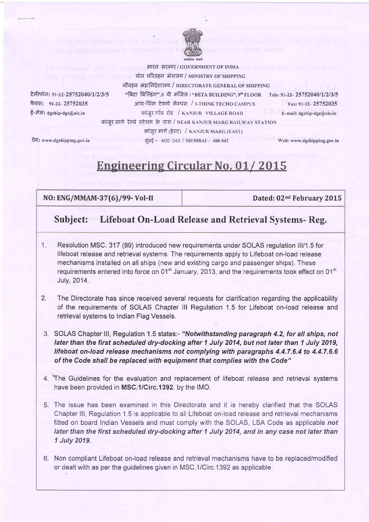

भारत, सरकार / GOVERNMENT OF INDIA पोत परिवहन मंत्रालय / MINISTRY OF SHIPPING नौवहन महानिदेशालय / DIRECTORATE GENERAL OF SHIPPING "बिटा बिल्डिंग". ९ वी मंजिल / "BETA BUILDING", 9<sup>th</sup> FLOOR Tele: 91-22- 25752040/1/2/3/5 आय-थिंक टेक्नो कॅम्पस / I-THINK TECHO CAMPUS Fax: 91-22-25752035 कांजूर गाँव रोड / KANJUR VILLAGE ROAD E-mail:  $dgship-dgs@nic.in$ कांजुर मार्ग रेल्वे स्टेशन के पास / NEAR KANJUR MARG RAILWAY STATION

वेब: www.dgshipping.gov.in

फैक्स: 91-22-25752035

ई-मेल: dgship-dgs@nic.in

टेलीफोन: 91-22-25752040/1/2/3/5

**Engineering Circular No. 01/2015** 

कांजुर मार्ग (ईस्ट) / KANJUR MARG (EAST)

मुंबई - 400 042 / MUMBAI - 400 042

NO: ENG/MMAM-37(6)/99-Vol-II

Dated: 02<sup>nd</sup> February 2015

Web: www.dgshipping.gov.in

## Lifeboat On-Load Release and Retrieval Systems- Reg. Subject:

- Resolution MSC, 317 (89) introduced new requirements under SOLAS requiation III/1.5 for  $1.$ lifeboat release and retrieval systems. The requirements apply to Lifeboat on-load release mechanisms installed on all ships (new and existing cargo and passenger ships). These requirements entered into force on 01<sup>st</sup> January, 2013, and the requirements took effect on 01<sup>st</sup> July, 2014.
- $2 -$ The Directorate has since received several requests for clarification regarding the applicability of the requirements of SOLAS Chapter III Regulation 1.5 for Lifeboat on-load release and retrieval systems to Indian Flag Vessels.
- 3. SOLAS Chapter III, Regulation 1.5 states:- "Notwithstanding paragraph 4.2, for all ships, not later than the first scheduled dry-docking after 1 July 2014, but not later than 1 July 2019, lifeboat on-load release mechanisms not complying with paragraphs 4.4.7.6.4 to 4.4.7.6.6 of the Code shall be replaced with equipment that complies with the Code"
- 4. The Guidelines for the evaluation and replacement of lifeboat release and retrieval systems have been provided in MSC.1/Circ.1392. by the IMO.
- 5. The issue has been examined in this Directorate and it is hereby clarified that the SOLAS Chapter III, Regulation 1.5 is applicable to all Lifeboat on-load release and retrieval mechanisms fitted on board Indian Vessels and must comply with the SOLAS, LSA Code as applicable not later than the first scheduled dry-docking after 1 July 2014, and in any case not later than 1 July 2019.
- 6. Non compliant Lifeboat on-load release and retrieval mechanisms have to be replaced/modified or dealt with as per the guidelines given in MSC.1/Circ.1392 as applicable.